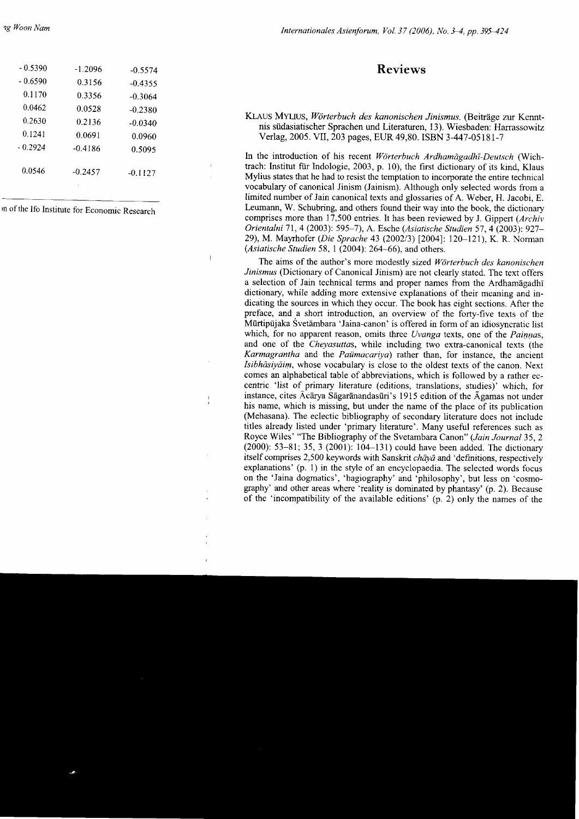## Reviews

## KLAUS MYLIUS, Wörterbuch des kanonischen Jinismus. (Beiträge zur Kenntnis siidasiatischer Sprachen und Literaturen, 13). Wiesbaden: Harrassowitz Verlag, 2005. VII, 203 pages, EUR 49,80. ISBN 3-447-05 l8l-7

In the introduction of his recent Wörterbuch Ardhamägadht-Deutsch (Wichtrach: Institut für Indologie, 2003, p. 10), the first dictionary of its kind. Klaus Mylius states that he had to resist the temptation to incorporate the entire technical vocabulary of canonical Jinism (Jainism). Although only selected words from a limited number of Jain canonical texts and glossaries of A. Weber, H. Jacobi, E. Leumann, W. Schubring, and others found their way into the book, the dictionary comprises more than 17,500 entries. It has been reviewed by J. Gippert (Archiv Orientalni 71, 4 (2003): 595-7), A. Esche (Asiatische Studien 57, 4 (2003): 927-29), M. Mayrhofer (Die Sprache 43 (2002/3) [2004]: 120-121), K. R. Norman (Asiatische Studien 58, I (2004): 264-66), and others.

The aims of the author's more modestly sized Wörterbuch des kanonischen Jinismus (Dictionary of Canonical Jinism) are not clearly stated. The text offers a selection of Jain technical terms and proper names from the Ardhamagadhi dictionary, while adding more extensive explanations of their meaning and indicating the sources in which they occur. The book has eight sections. After the preface, and a short introduction, an overview of the forty-five texts of the Mlrtipljaka Svetambara 'Jaina-canon' is offered in form of an idiosyncratic list which, for no apparent reason, omits three Uvanga texts, one of the Painnas, and one of the Cheyasuttas, whlle including two extra-canonical texts (the Karmagrantha and the Paümacariya) rather than, for instance, the ancient Isibhdsiyain, whose vocabulary is close to the oldest texts of the canon. Next comes an alphabetical table of abbreviations, which is followed by a rather eccentric 'list of primary literature (editions, translations, studies)' which, for instance, cites  $\bar{A}c\bar{a}ry$ a S $\bar{a}g$ ar $\bar{a}n$ andas $\bar{u}$ ri's 1915 edition of the  $\bar{A}g$ amas not under his name, which is missing, but under the name of the place of its publication (Mehasana). The eclectic bibliography of secondary literature does not include titles already listed under 'primary literature'. Many useful references such as Royce Wiles' "The Bibliography of the Svetambara Canon" (Jain Journal 35, 2 (2000): 53-81; 35, 3 (2001): 104-13l) could have been added. The dictionary itself comprises 2,500 keywords with Sanskrit  $ch\bar{a}y\bar{a}$  and 'definitions, respectively explanations' (p. 1) in the style of an encyclopaedia. The selected words focus on the 'Jaina dogmatics', 'hagiography' and 'philosophy', but less on 'cosmography' and other areas where 'reality is dominated by phantasy' (p. 2). Because of the 'incompatibility of the available editions' (p. 2) only the names of the